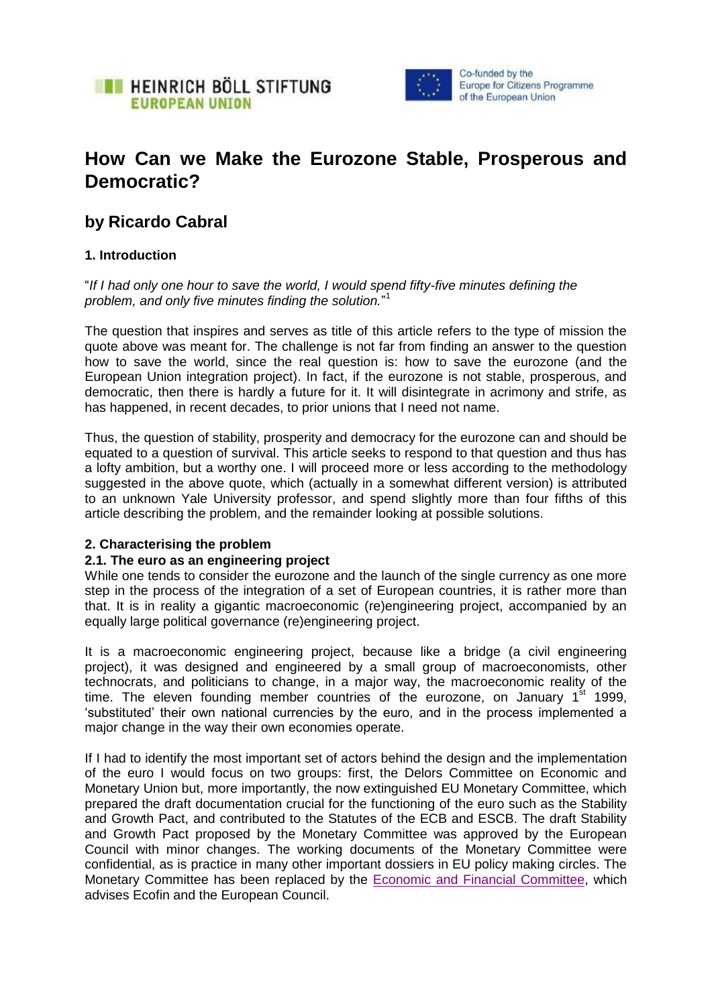



# **How Can we Make the Eurozone Stable, Prosperous and Democratic?**

# **by Ricardo Cabral**

# **1. Introduction**

"*If I had only one hour to save the world, I would spend fifty-five minutes defining the problem, and only five minutes finding the solution.*" 1

The question that inspires and serves as title of this article refers to the type of mission the quote above was meant for. The challenge is not far from finding an answer to the question how to save the world, since the real question is: how to save the eurozone (and the European Union integration project). In fact, if the eurozone is not stable, prosperous, and democratic, then there is hardly a future for it. It will disintegrate in acrimony and strife, as has happened, in recent decades, to prior unions that I need not name.

Thus, the question of stability, prosperity and democracy for the eurozone can and should be equated to a question of survival. This article seeks to respond to that question and thus has a lofty ambition, but a worthy one. I will proceed more or less according to the methodology suggested in the above quote, which (actually in a somewhat different version) is attributed to an unknown Yale University professor, and spend slightly more than four fifths of this article describing the problem, and the remainder looking at possible solutions.

## **2. Characterising the problem**

## **2.1. The euro as an engineering project**

While one tends to consider the eurozone and the launch of the single currency as one more step in the process of the integration of a set of European countries, it is rather more than that. It is in reality a gigantic macroeconomic (re)engineering project, accompanied by an equally large political governance (re)engineering project.

It is a macroeconomic engineering project, because like a bridge (a civil engineering project), it was designed and engineered by a small group of macroeconomists, other technocrats, and politicians to change, in a major way, the macroeconomic reality of the time. The eleven founding member countries of the eurozone, on January  $1<sup>st</sup>$  1999, 'substituted' their own national currencies by the euro, and in the process implemented a major change in the way their own economies operate.

If I had to identify the most important set of actors behind the design and the implementation of the euro I would focus on two groups: first, the Delors Committee on Economic and Monetary Union but, more importantly, the now extinguished EU Monetary Committee, which prepared the draft documentation crucial for the functioning of the euro such as the Stability and Growth Pact, and contributed to the Statutes of the ECB and ESCB. The draft Stability and Growth Pact proposed by the Monetary Committee was approved by the European Council with minor changes. The working documents of the Monetary Committee were confidential, as is practice in many other important dossiers in EU policy making circles. The Monetary Committee has been replaced by the [Economic and Financial Committee,](http://europa.eu/efc/pdf/council_decision_2003476ec_on_a_revision_of_the_statutes_of_the_efc.pdf) which advises Ecofin and the European Council.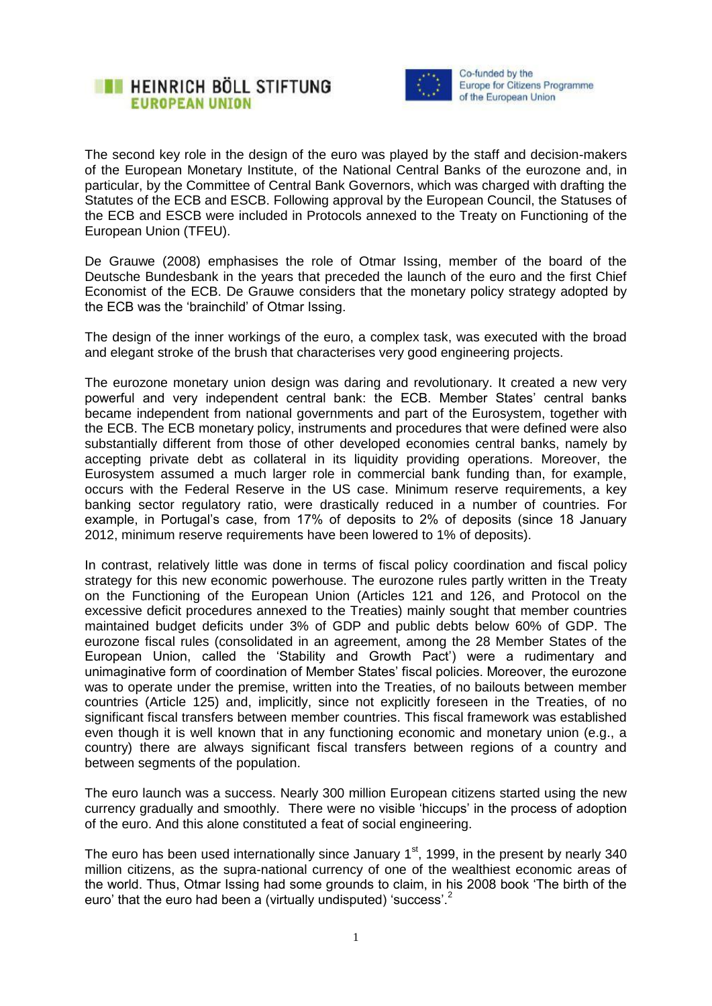



The second key role in the design of the euro was played by the staff and decision-makers of the European Monetary Institute, of the National Central Banks of the eurozone and, in particular, by the Committee of Central Bank Governors, which was charged with drafting the Statutes of the ECB and ESCB. Following approval by the European Council, the Statuses of the ECB and ESCB were included in Protocols annexed to the Treaty on Functioning of the European Union (TFEU).

De Grauwe (2008) emphasises the role of Otmar Issing, member of the board of the Deutsche Bundesbank in the years that preceded the launch of the euro and the first Chief Economist of the ECB. De Grauwe considers that the monetary policy strategy adopted by the ECB was the 'brainchild' of Otmar Issing.

The design of the inner workings of the euro, a complex task, was executed with the broad and elegant stroke of the brush that characterises very good engineering projects.

The eurozone monetary union design was daring and revolutionary. It created a new very powerful and very independent central bank: the ECB. Member States' central banks became independent from national governments and part of the Eurosystem, together with the ECB. The ECB monetary policy, instruments and procedures that were defined were also substantially different from those of other developed economies central banks, namely by accepting private debt as collateral in its liquidity providing operations. Moreover, the Eurosystem assumed a much larger role in commercial bank funding than, for example, occurs with the Federal Reserve in the US case. Minimum reserve requirements, a key banking sector regulatory ratio, were drastically reduced in a number of countries. For example, in Portugal's case, from 17% of deposits to 2% of deposits (since 18 January 2012, minimum reserve requirements have been lowered to 1% of deposits).

In contrast, relatively little was done in terms of fiscal policy coordination and fiscal policy strategy for this new economic powerhouse. The eurozone rules partly written in the Treaty on the Functioning of the European Union (Articles 121 and 126, and Protocol on the excessive deficit procedures annexed to the Treaties) mainly sought that member countries maintained budget deficits under 3% of GDP and public debts below 60% of GDP. The eurozone fiscal rules (consolidated in an agreement, among the 28 Member States of the European Union, called the 'Stability and Growth Pact') were a rudimentary and unimaginative form of coordination of Member States' fiscal policies. Moreover, the eurozone was to operate under the premise, written into the Treaties, of no bailouts between member countries (Article 125) and, implicitly, since not explicitly foreseen in the Treaties, of no significant fiscal transfers between member countries. This fiscal framework was established even though it is well known that in any functioning economic and monetary union (e.g., a country) there are always significant fiscal transfers between regions of a country and between segments of the population.

The euro launch was a success. Nearly 300 million European citizens started using the new currency gradually and smoothly. There were no visible 'hiccups' in the process of adoption of the euro. And this alone constituted a feat of social engineering.

The euro has been used internationally since January  $1<sup>st</sup>$ , 1999, in the present by nearly 340 million citizens, as the supra-national currency of one of the wealthiest economic areas of the world. Thus, Otmar Issing had some grounds to claim, in his 2008 book 'The birth of the euro' that the euro had been a (virtually undisputed) 'success'.<sup>2</sup>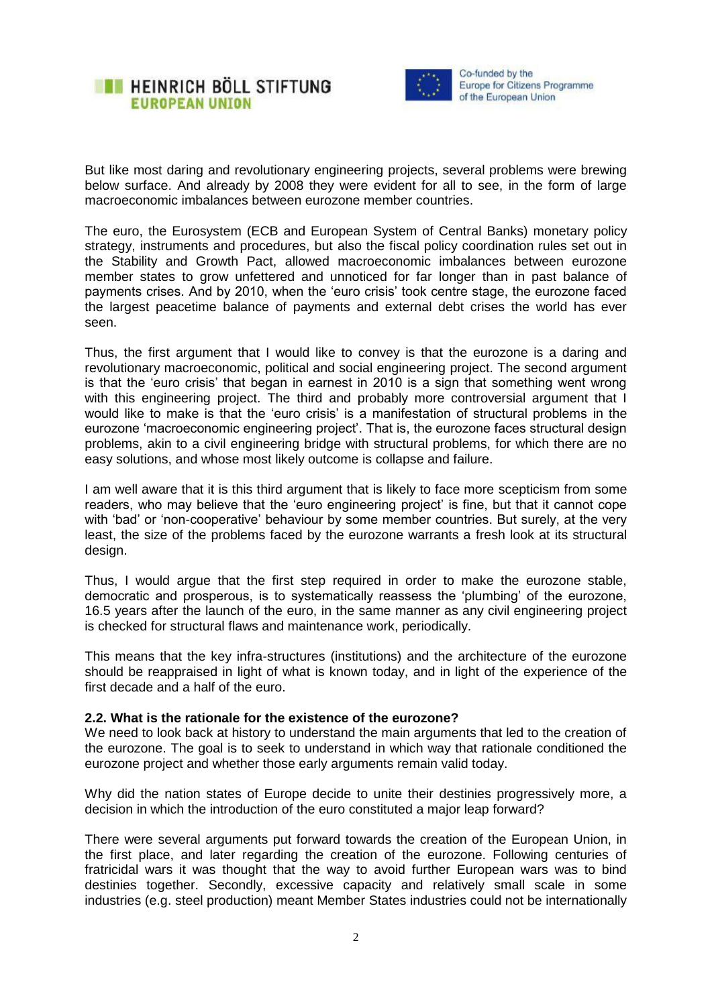



But like most daring and revolutionary engineering projects, several problems were brewing below surface. And already by 2008 they were evident for all to see, in the form of large macroeconomic imbalances between eurozone member countries.

The euro, the Eurosystem (ECB and European System of Central Banks) monetary policy strategy, instruments and procedures, but also the fiscal policy coordination rules set out in the Stability and Growth Pact, allowed macroeconomic imbalances between eurozone member states to grow unfettered and unnoticed for far longer than in past balance of payments crises. And by 2010, when the 'euro crisis' took centre stage, the eurozone faced the largest peacetime balance of payments and external debt crises the world has ever seen.

Thus, the first argument that I would like to convey is that the eurozone is a daring and revolutionary macroeconomic, political and social engineering project. The second argument is that the 'euro crisis' that began in earnest in 2010 is a sign that something went wrong with this engineering project. The third and probably more controversial argument that I would like to make is that the 'euro crisis' is a manifestation of structural problems in the eurozone 'macroeconomic engineering project'. That is, the eurozone faces structural design problems, akin to a civil engineering bridge with structural problems, for which there are no easy solutions, and whose most likely outcome is collapse and failure.

I am well aware that it is this third argument that is likely to face more scepticism from some readers, who may believe that the 'euro engineering project' is fine, but that it cannot cope with 'bad' or 'non-cooperative' behaviour by some member countries. But surely, at the very least, the size of the problems faced by the eurozone warrants a fresh look at its structural design.

Thus, I would argue that the first step required in order to make the eurozone stable, democratic and prosperous, is to systematically reassess the 'plumbing' of the eurozone, 16.5 years after the launch of the euro, in the same manner as any civil engineering project is checked for structural flaws and maintenance work, periodically.

This means that the key infra-structures (institutions) and the architecture of the eurozone should be reappraised in light of what is known today, and in light of the experience of the first decade and a half of the euro.

#### **2.2. What is the rationale for the existence of the eurozone?**

We need to look back at history to understand the main arguments that led to the creation of the eurozone. The goal is to seek to understand in which way that rationale conditioned the eurozone project and whether those early arguments remain valid today.

Why did the nation states of Europe decide to unite their destinies progressively more, a decision in which the introduction of the euro constituted a major leap forward?

There were several arguments put forward towards the creation of the European Union, in the first place, and later regarding the creation of the eurozone. Following centuries of fratricidal wars it was thought that the way to avoid further European wars was to bind destinies together. Secondly, excessive capacity and relatively small scale in some industries (e.g. steel production) meant Member States industries could not be internationally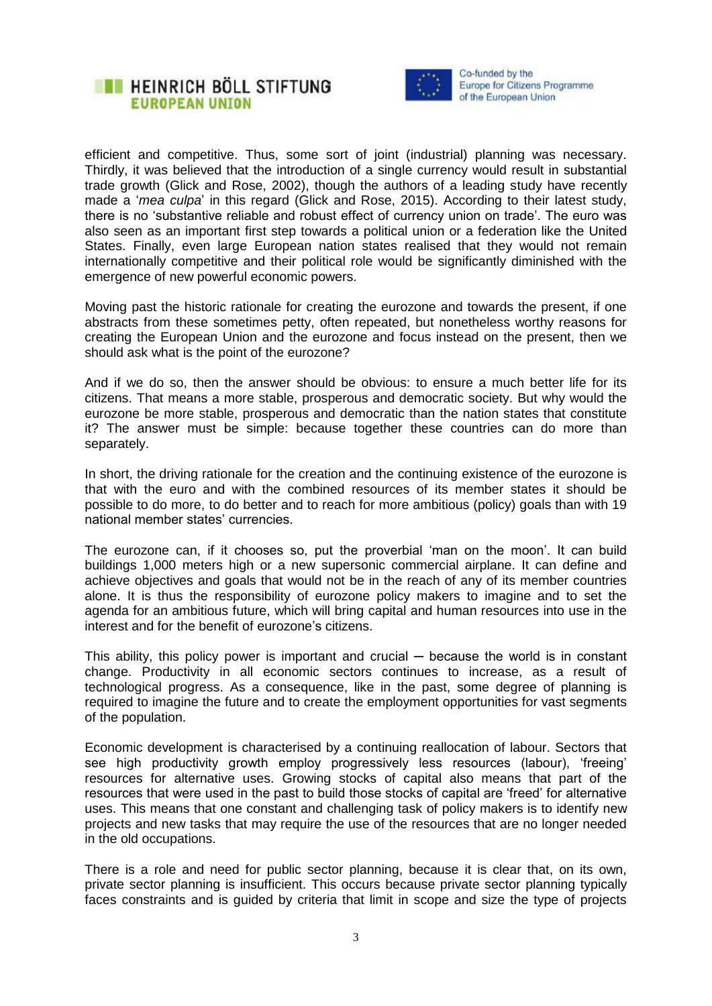



efficient and competitive. Thus, some sort of joint (industrial) planning was necessary. Thirdly, it was believed that the introduction of a single currency would result in substantial trade growth (Glick and Rose, 2002), though the authors of a leading study have recently made a '*mea culpa*' in this regard (Glick and Rose, 2015). According to their latest study, there is no 'substantive reliable and robust effect of currency union on trade'. The euro was also seen as an important first step towards a political union or a federation like the United States. Finally, even large European nation states realised that they would not remain internationally competitive and their political role would be significantly diminished with the emergence of new powerful economic powers.

Moving past the historic rationale for creating the eurozone and towards the present, if one abstracts from these sometimes petty, often repeated, but nonetheless worthy reasons for creating the European Union and the eurozone and focus instead on the present, then we should ask what is the point of the eurozone?

And if we do so, then the answer should be obvious: to ensure a much better life for its citizens. That means a more stable, prosperous and democratic society. But why would the eurozone be more stable, prosperous and democratic than the nation states that constitute it? The answer must be simple: because together these countries can do more than separately.

In short, the driving rationale for the creation and the continuing existence of the eurozone is that with the euro and with the combined resources of its member states it should be possible to do more, to do better and to reach for more ambitious (policy) goals than with 19 national member states' currencies.

The eurozone can, if it chooses so, put the proverbial 'man on the moon'. It can build buildings 1,000 meters high or a new supersonic commercial airplane. It can define and achieve objectives and goals that would not be in the reach of any of its member countries alone. It is thus the responsibility of eurozone policy makers to imagine and to set the agenda for an ambitious future, which will bring capital and human resources into use in the interest and for the benefit of eurozone's citizens.

This ability, this policy power is important and crucial — because the world is in constant change. Productivity in all economic sectors continues to increase, as a result of technological progress. As a consequence, like in the past, some degree of planning is required to imagine the future and to create the employment opportunities for vast segments of the population.

Economic development is characterised by a continuing reallocation of labour. Sectors that see high productivity growth employ progressively less resources (labour), 'freeing' resources for alternative uses. Growing stocks of capital also means that part of the resources that were used in the past to build those stocks of capital are 'freed' for alternative uses. This means that one constant and challenging task of policy makers is to identify new projects and new tasks that may require the use of the resources that are no longer needed in the old occupations.

There is a role and need for public sector planning, because it is clear that, on its own, private sector planning is insufficient. This occurs because private sector planning typically faces constraints and is guided by criteria that limit in scope and size the type of projects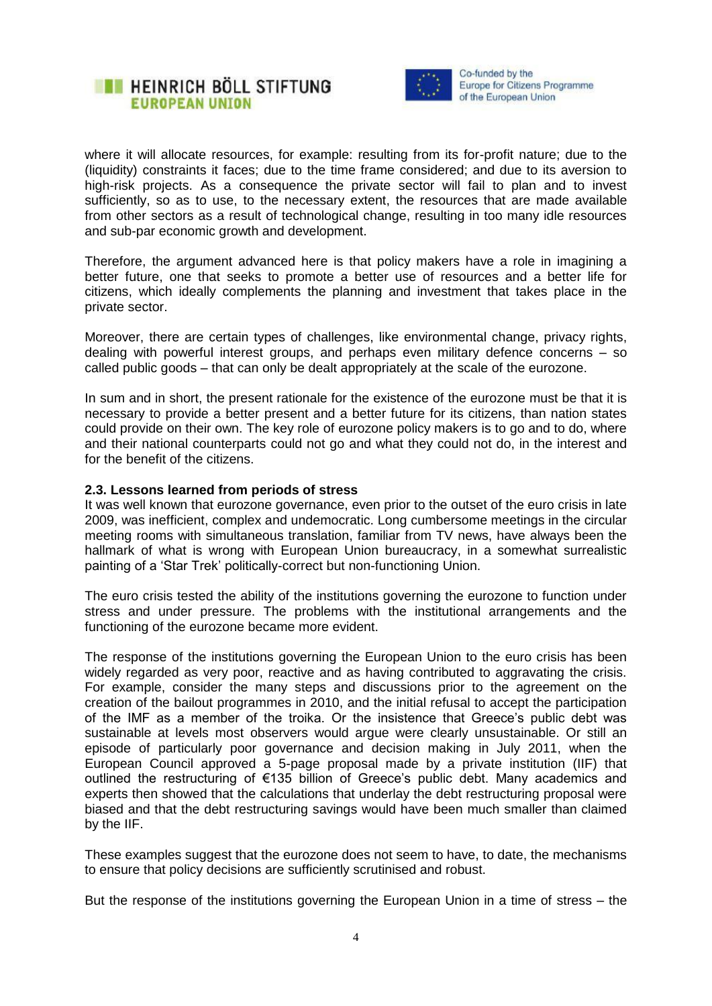



where it will allocate resources, for example: resulting from its for-profit nature; due to the (liquidity) constraints it faces; due to the time frame considered; and due to its aversion to high-risk projects. As a consequence the private sector will fail to plan and to invest sufficiently, so as to use, to the necessary extent, the resources that are made available from other sectors as a result of technological change, resulting in too many idle resources and sub-par economic growth and development.

Therefore, the argument advanced here is that policy makers have a role in imagining a better future, one that seeks to promote a better use of resources and a better life for citizens, which ideally complements the planning and investment that takes place in the private sector.

Moreover, there are certain types of challenges, like environmental change, privacy rights, dealing with powerful interest groups, and perhaps even military defence concerns – so called public goods – that can only be dealt appropriately at the scale of the eurozone.

In sum and in short, the present rationale for the existence of the eurozone must be that it is necessary to provide a better present and a better future for its citizens, than nation states could provide on their own. The key role of eurozone policy makers is to go and to do, where and their national counterparts could not go and what they could not do, in the interest and for the benefit of the citizens.

#### **2.3. Lessons learned from periods of stress**

It was well known that eurozone governance, even prior to the outset of the euro crisis in late 2009, was inefficient, complex and undemocratic. Long cumbersome meetings in the circular meeting rooms with simultaneous translation, familiar from TV news, have always been the hallmark of what is wrong with European Union bureaucracy, in a somewhat surrealistic painting of a 'Star Trek' politically-correct but non-functioning Union.

The euro crisis tested the ability of the institutions governing the eurozone to function under stress and under pressure. The problems with the institutional arrangements and the functioning of the eurozone became more evident.

The response of the institutions governing the European Union to the euro crisis has been widely regarded as very poor, reactive and as having contributed to aggravating the crisis. For example, consider the many steps and discussions prior to the agreement on the creation of the bailout programmes in 2010, and the initial refusal to accept the participation of the IMF as a member of the troika. Or the insistence that Greece's public debt was sustainable at levels most observers would argue were clearly unsustainable. Or still an episode of particularly poor governance and decision making in July 2011, when the European Council approved a 5-page proposal made by a private institution (IIF) that outlined the restructuring of €135 billion of Greece's public debt. Many academics and experts then showed that the calculations that underlay the debt restructuring proposal were biased and that the debt restructuring savings would have been much smaller than claimed by the IIF.

These examples suggest that the eurozone does not seem to have, to date, the mechanisms to ensure that policy decisions are sufficiently scrutinised and robust.

But the response of the institutions governing the European Union in a time of stress – the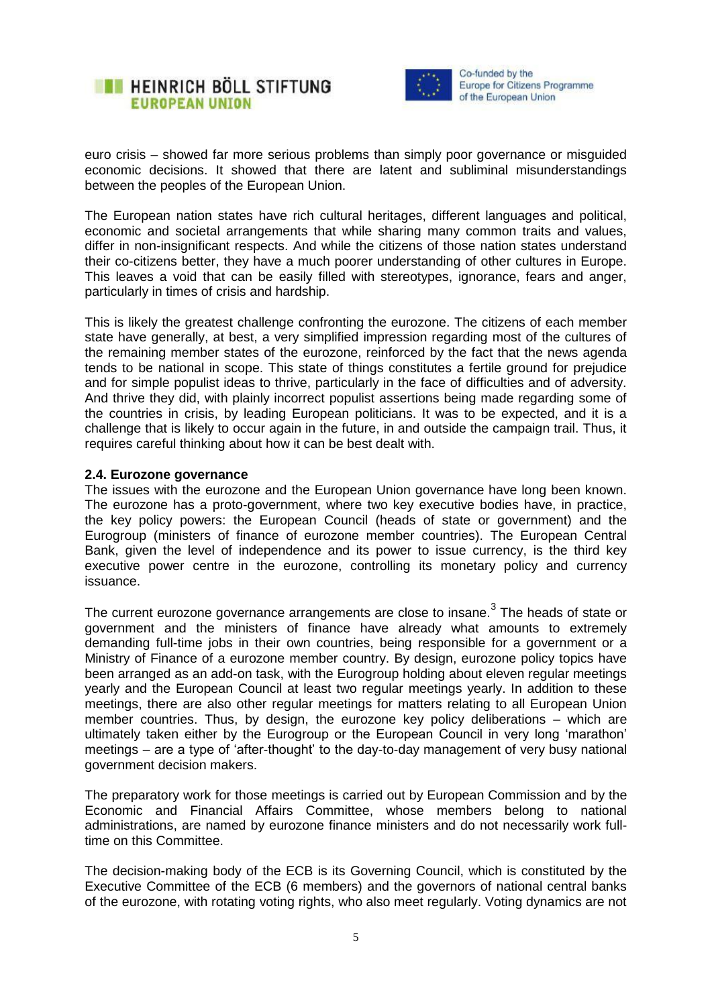



euro crisis – showed far more serious problems than simply poor governance or misguided economic decisions. It showed that there are latent and subliminal misunderstandings between the peoples of the European Union.

The European nation states have rich cultural heritages, different languages and political, economic and societal arrangements that while sharing many common traits and values, differ in non-insignificant respects. And while the citizens of those nation states understand their co-citizens better, they have a much poorer understanding of other cultures in Europe. This leaves a void that can be easily filled with stereotypes, ignorance, fears and anger, particularly in times of crisis and hardship.

This is likely the greatest challenge confronting the eurozone. The citizens of each member state have generally, at best, a very simplified impression regarding most of the cultures of the remaining member states of the eurozone, reinforced by the fact that the news agenda tends to be national in scope. This state of things constitutes a fertile ground for prejudice and for simple populist ideas to thrive, particularly in the face of difficulties and of adversity. And thrive they did, with plainly incorrect populist assertions being made regarding some of the countries in crisis, by leading European politicians. It was to be expected, and it is a challenge that is likely to occur again in the future, in and outside the campaign trail. Thus, it requires careful thinking about how it can be best dealt with.

#### **2.4. Eurozone governance**

The issues with the eurozone and the European Union governance have long been known. The eurozone has a proto-government, where two key executive bodies have, in practice, the key policy powers: the European Council (heads of state or government) and the Eurogroup (ministers of finance of eurozone member countries). The European Central Bank, given the level of independence and its power to issue currency, is the third key executive power centre in the eurozone, controlling its monetary policy and currency issuance.

The current eurozone governance arrangements are close to insane.<sup>3</sup> The heads of state or government and the ministers of finance have already what amounts to extremely demanding full-time jobs in their own countries, being responsible for a government or a Ministry of Finance of a eurozone member country. By design, eurozone policy topics have been arranged as an add-on task, with the Eurogroup holding about eleven regular meetings yearly and the European Council at least two regular meetings yearly. In addition to these meetings, there are also other regular meetings for matters relating to all European Union member countries. Thus, by design, the eurozone key policy deliberations – which are ultimately taken either by the Eurogroup or the European Council in very long 'marathon' meetings – are a type of 'after-thought' to the day-to-day management of very busy national government decision makers.

The preparatory work for those meetings is carried out by European Commission and by the Economic and Financial Affairs Committee, whose members belong to national administrations, are named by eurozone finance ministers and do not necessarily work fulltime on this Committee.

The decision-making body of the ECB is its Governing Council, which is constituted by the Executive Committee of the ECB (6 members) and the governors of national central banks of the eurozone, with rotating voting rights, who also meet regularly. Voting dynamics are not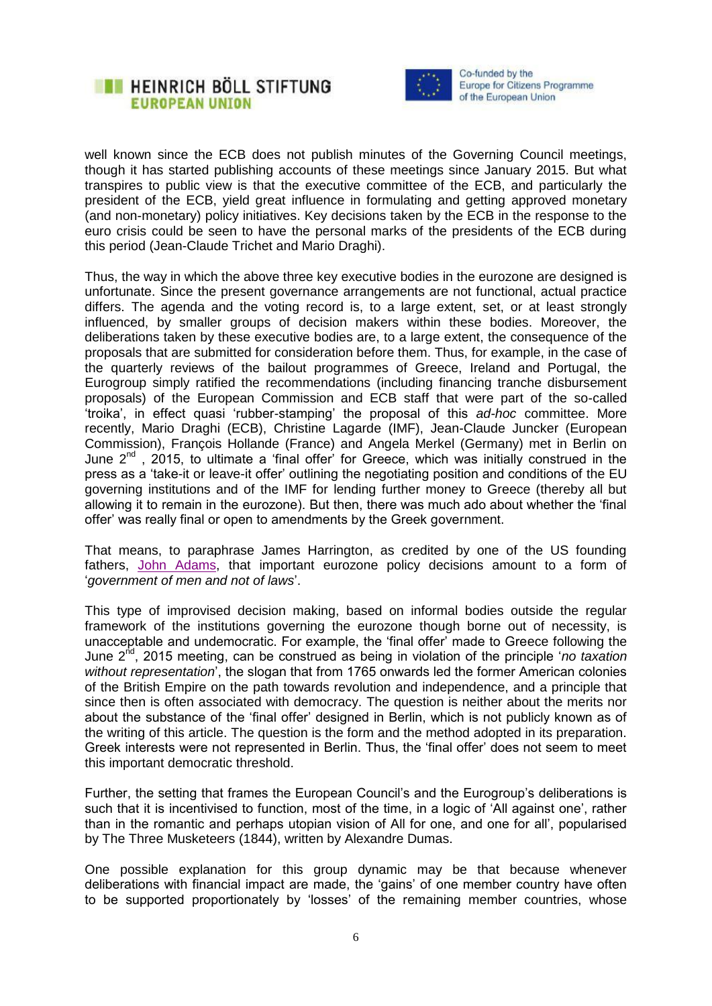



well known since the ECB does not publish minutes of the Governing Council meetings, though it has started publishing accounts of these meetings since January 2015. But what transpires to public view is that the executive committee of the ECB, and particularly the president of the ECB, yield great influence in formulating and getting approved monetary (and non-monetary) policy initiatives. Key decisions taken by the ECB in the response to the euro crisis could be seen to have the personal marks of the presidents of the ECB during this period (Jean-Claude Trichet and Mario Draghi).

Thus, the way in which the above three key executive bodies in the eurozone are designed is unfortunate. Since the present governance arrangements are not functional, actual practice differs. The agenda and the voting record is, to a large extent, set, or at least strongly influenced, by smaller groups of decision makers within these bodies. Moreover, the deliberations taken by these executive bodies are, to a large extent, the consequence of the proposals that are submitted for consideration before them. Thus, for example, in the case of the quarterly reviews of the bailout programmes of Greece, Ireland and Portugal, the Eurogroup simply ratified the recommendations (including financing tranche disbursement proposals) of the European Commission and ECB staff that were part of the so-called 'troika', in effect quasi 'rubber-stamping' the proposal of this *ad-hoc* committee. More recently, Mario Draghi (ECB), Christine Lagarde (IMF), Jean-Claude Juncker (European Commission), François Hollande (France) and Angela Merkel (Germany) met in Berlin on June  $2^{nd}$ , 2015, to ultimate a 'final offer' for Greece, which was initially construed in the press as a 'take-it or leave-it offer' outlining the negotiating position and conditions of the EU governing institutions and of the IMF for lending further money to Greece (thereby all but allowing it to remain in the eurozone). But then, there was much ado about whether the 'final offer' was really final or open to amendments by the Greek government.

That means, to paraphrase James Harrington, as credited by one of the US founding fathers, [John Adams,](http://www.bartleby.com/73/991.html) that important eurozone policy decisions amount to a form of '*government of men and not of laws*'.

This type of improvised decision making, based on informal bodies outside the regular framework of the institutions governing the eurozone though borne out of necessity, is unacceptable and undemocratic. For example, the 'final offer' made to Greece following the June 2nd, 2015 meeting, can be construed as being in violation of the principle '*no taxation without representation*', the slogan that from 1765 onwards led the former American colonies of the British Empire on the path towards revolution and independence, and a principle that since then is often associated with democracy. The question is neither about the merits nor about the substance of the 'final offer' designed in Berlin, which is not publicly known as of the writing of this article. The question is the form and the method adopted in its preparation. Greek interests were not represented in Berlin. Thus, the 'final offer' does not seem to meet this important democratic threshold.

Further, the setting that frames the European Council's and the Eurogroup's deliberations is such that it is incentivised to function, most of the time, in a logic of 'All against one', rather than in the romantic and perhaps utopian vision of All for one, and one for all', popularised by The Three Musketeers (1844), written by Alexandre Dumas.

One possible explanation for this group dynamic may be that because whenever deliberations with financial impact are made, the 'gains' of one member country have often to be supported proportionately by 'losses' of the remaining member countries, whose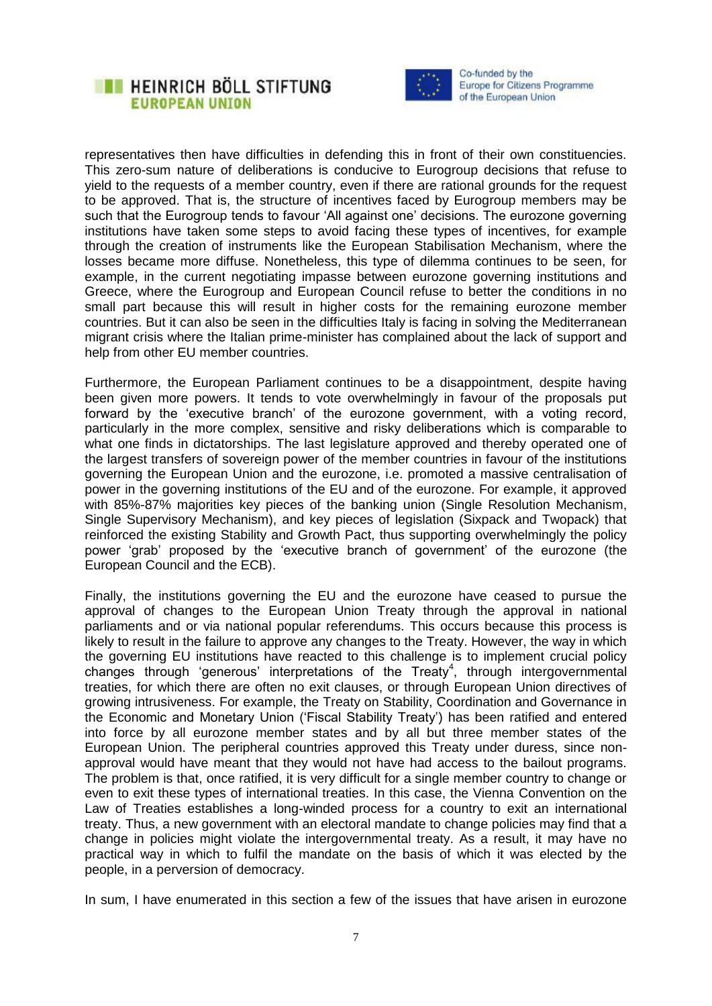



representatives then have difficulties in defending this in front of their own constituencies. This zero-sum nature of deliberations is conducive to Eurogroup decisions that refuse to yield to the requests of a member country, even if there are rational grounds for the request to be approved. That is, the structure of incentives faced by Eurogroup members may be such that the Eurogroup tends to favour 'All against one' decisions. The eurozone governing institutions have taken some steps to avoid facing these types of incentives, for example through the creation of instruments like the European Stabilisation Mechanism, where the losses became more diffuse. Nonetheless, this type of dilemma continues to be seen, for example, in the current negotiating impasse between eurozone governing institutions and Greece, where the Eurogroup and European Council refuse to better the conditions in no small part because this will result in higher costs for the remaining eurozone member countries. But it can also be seen in the difficulties Italy is facing in solving the Mediterranean migrant crisis where the Italian prime-minister has complained about the lack of support and help from other EU member countries.

Furthermore, the European Parliament continues to be a disappointment, despite having been given more powers. It tends to vote overwhelmingly in favour of the proposals put forward by the 'executive branch' of the eurozone government, with a voting record, particularly in the more complex, sensitive and risky deliberations which is comparable to what one finds in dictatorships. The last legislature approved and thereby operated one of the largest transfers of sovereign power of the member countries in favour of the institutions governing the European Union and the eurozone, i.e. promoted a massive centralisation of power in the governing institutions of the EU and of the eurozone. For example, it approved with 85%-87% majorities key pieces of the banking union (Single Resolution Mechanism, Single Supervisory Mechanism), and key pieces of legislation (Sixpack and Twopack) that reinforced the existing Stability and Growth Pact, thus supporting overwhelmingly the policy power 'grab' proposed by the 'executive branch of government' of the eurozone (the European Council and the ECB).

Finally, the institutions governing the EU and the eurozone have ceased to pursue the approval of changes to the European Union Treaty through the approval in national parliaments and or via national popular referendums. This occurs because this process is likely to result in the failure to approve any changes to the Treaty. However, the way in which the governing EU institutions have reacted to this challenge is to implement crucial policy changes through 'generous' interpretations of the Treaty<sup>4</sup>, through intergovernmental treaties, for which there are often no exit clauses, or through European Union directives of growing intrusiveness. For example, the Treaty on Stability, Coordination and Governance in the Economic and Monetary Union ('Fiscal Stability Treaty') has been ratified and entered into force by all eurozone member states and by all but three member states of the European Union. The peripheral countries approved this Treaty under duress, since nonapproval would have meant that they would not have had access to the bailout programs. The problem is that, once ratified, it is very difficult for a single member country to change or even to exit these types of international treaties. In this case, the Vienna Convention on the Law of Treaties establishes a long-winded process for a country to exit an international treaty. Thus, a new government with an electoral mandate to change policies may find that a change in policies might violate the intergovernmental treaty. As a result, it may have no practical way in which to fulfil the mandate on the basis of which it was elected by the people, in a perversion of democracy.

In sum, I have enumerated in this section a few of the issues that have arisen in eurozone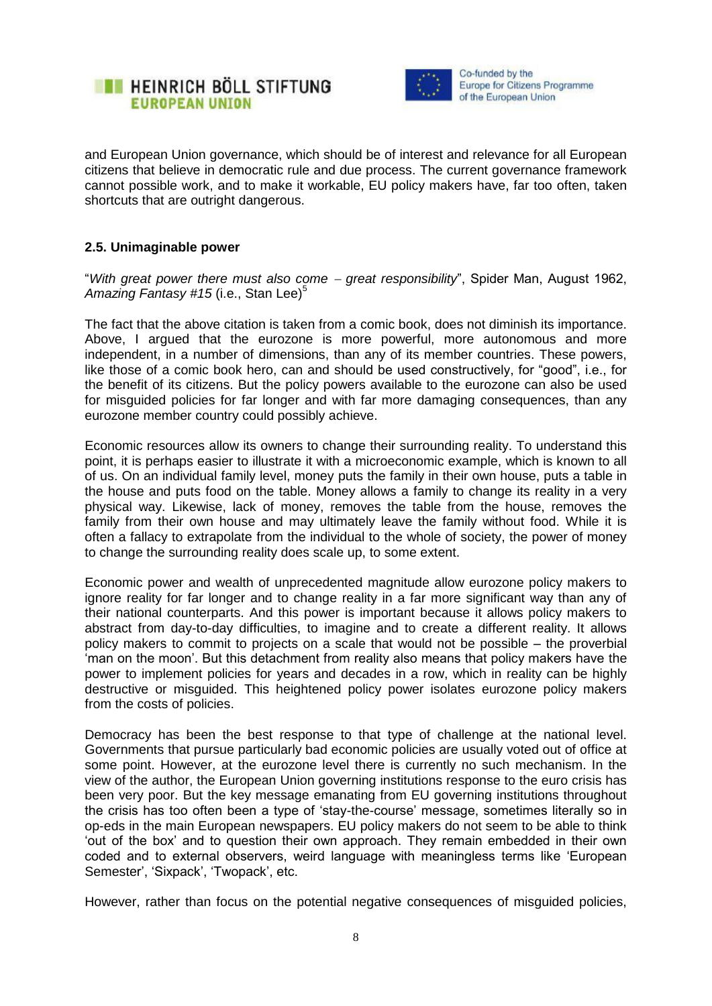



and European Union governance, which should be of interest and relevance for all European citizens that believe in democratic rule and due process. The current governance framework cannot possible work, and to make it workable, EU policy makers have, far too often, taken shortcuts that are outright dangerous.

#### **2.5. Unimaginable power**

"*With great power there must also come great responsibility*", Spider Man, August 1962, Amazing Fantasy #15 (i.e., Stan Lee)<sup>5</sup>

The fact that the above citation is taken from a comic book, does not diminish its importance. Above, I argued that the eurozone is more powerful, more autonomous and more independent, in a number of dimensions, than any of its member countries. These powers, like those of a comic book hero, can and should be used constructively, for "good", i.e., for the benefit of its citizens. But the policy powers available to the eurozone can also be used for misguided policies for far longer and with far more damaging consequences, than any eurozone member country could possibly achieve.

Economic resources allow its owners to change their surrounding reality. To understand this point, it is perhaps easier to illustrate it with a microeconomic example, which is known to all of us. On an individual family level, money puts the family in their own house, puts a table in the house and puts food on the table. Money allows a family to change its reality in a very physical way. Likewise, lack of money, removes the table from the house, removes the family from their own house and may ultimately leave the family without food. While it is often a fallacy to extrapolate from the individual to the whole of society, the power of money to change the surrounding reality does scale up, to some extent.

Economic power and wealth of unprecedented magnitude allow eurozone policy makers to ignore reality for far longer and to change reality in a far more significant way than any of their national counterparts. And this power is important because it allows policy makers to abstract from day-to-day difficulties, to imagine and to create a different reality. It allows policy makers to commit to projects on a scale that would not be possible – the proverbial 'man on the moon'. But this detachment from reality also means that policy makers have the power to implement policies for years and decades in a row, which in reality can be highly destructive or misguided. This heightened policy power isolates eurozone policy makers from the costs of policies.

Democracy has been the best response to that type of challenge at the national level. Governments that pursue particularly bad economic policies are usually voted out of office at some point. However, at the eurozone level there is currently no such mechanism. In the view of the author, the European Union governing institutions response to the euro crisis has been very poor. But the key message emanating from EU governing institutions throughout the crisis has too often been a type of 'stay-the-course' message, sometimes literally so in op-eds in the main European newspapers. EU policy makers do not seem to be able to think 'out of the box' and to question their own approach. They remain embedded in their own coded and to external observers, weird language with meaningless terms like 'European Semester', 'Sixpack', 'Twopack', etc.

However, rather than focus on the potential negative consequences of misguided policies,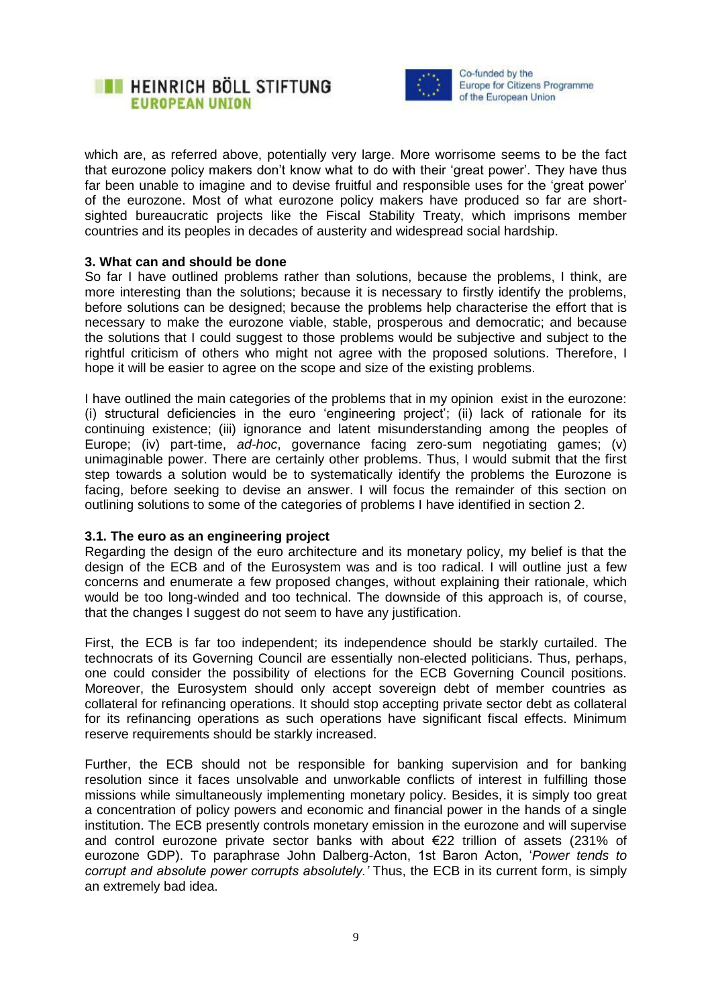



which are, as referred above, potentially very large. More worrisome seems to be the fact that eurozone policy makers don't know what to do with their 'great power'. They have thus far been unable to imagine and to devise fruitful and responsible uses for the 'great power' of the eurozone. Most of what eurozone policy makers have produced so far are shortsighted bureaucratic projects like the Fiscal Stability Treaty, which imprisons member countries and its peoples in decades of austerity and widespread social hardship.

#### **3. What can and should be done**

So far I have outlined problems rather than solutions, because the problems, I think, are more interesting than the solutions; because it is necessary to firstly identify the problems, before solutions can be designed; because the problems help characterise the effort that is necessary to make the eurozone viable, stable, prosperous and democratic; and because the solutions that I could suggest to those problems would be subjective and subject to the rightful criticism of others who might not agree with the proposed solutions. Therefore, I hope it will be easier to agree on the scope and size of the existing problems.

I have outlined the main categories of the problems that in my opinion exist in the eurozone: (i) structural deficiencies in the euro 'engineering project'; (ii) lack of rationale for its continuing existence; (iii) ignorance and latent misunderstanding among the peoples of Europe; (iv) part-time, *ad-hoc*, governance facing zero-sum negotiating games; (v) unimaginable power. There are certainly other problems. Thus, I would submit that the first step towards a solution would be to systematically identify the problems the Eurozone is facing, before seeking to devise an answer. I will focus the remainder of this section on outlining solutions to some of the categories of problems I have identified in section 2.

#### **3.1. The euro as an engineering project**

Regarding the design of the euro architecture and its monetary policy, my belief is that the design of the ECB and of the Eurosystem was and is too radical. I will outline just a few concerns and enumerate a few proposed changes, without explaining their rationale, which would be too long-winded and too technical. The downside of this approach is, of course, that the changes I suggest do not seem to have any justification.

First, the ECB is far too independent; its independence should be starkly curtailed. The technocrats of its Governing Council are essentially non-elected politicians. Thus, perhaps, one could consider the possibility of elections for the ECB Governing Council positions. Moreover, the Eurosystem should only accept sovereign debt of member countries as collateral for refinancing operations. It should stop accepting private sector debt as collateral for its refinancing operations as such operations have significant fiscal effects. Minimum reserve requirements should be starkly increased.

Further, the ECB should not be responsible for banking supervision and for banking resolution since it faces unsolvable and unworkable conflicts of interest in fulfilling those missions while simultaneously implementing monetary policy. Besides, it is simply too great a concentration of policy powers and economic and financial power in the hands of a single institution. The ECB presently controls monetary emission in the eurozone and will supervise and control eurozone private sector banks with about €22 trillion of assets (231% of eurozone GDP). To paraphrase John Dalberg-Acton, 1st Baron Acton, '*Power tends to corrupt and absolute power corrupts absolutely.'* Thus, the ECB in its current form, is simply an extremely bad idea.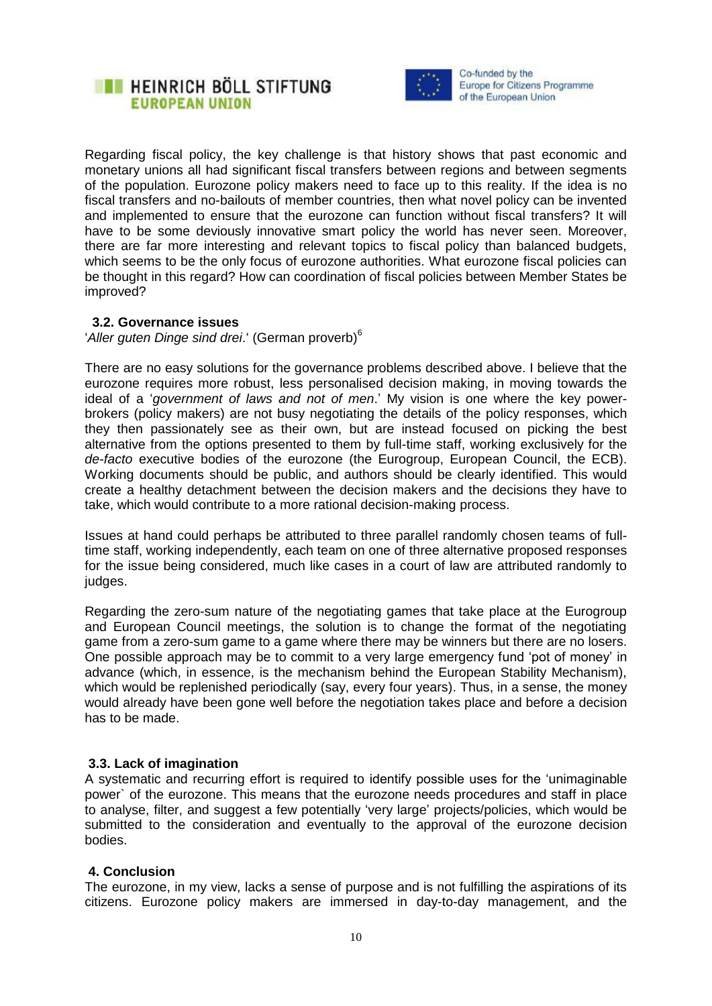



Regarding fiscal policy, the key challenge is that history shows that past economic and monetary unions all had significant fiscal transfers between regions and between segments of the population. Eurozone policy makers need to face up to this reality. If the idea is no fiscal transfers and no-bailouts of member countries, then what novel policy can be invented and implemented to ensure that the eurozone can function without fiscal transfers? It will have to be some deviously innovative smart policy the world has never seen. Moreover, there are far more interesting and relevant topics to fiscal policy than balanced budgets, which seems to be the only focus of eurozone authorities. What eurozone fiscal policies can be thought in this regard? How can coordination of fiscal policies between Member States be improved?

#### **3.2. Governance issues**

'*Aller guten Dinge sind drei*.' (German proverb)<sup>6</sup>

There are no easy solutions for the governance problems described above. I believe that the eurozone requires more robust, less personalised decision making, in moving towards the ideal of a '*government of laws and not of men*.' My vision is one where the key powerbrokers (policy makers) are not busy negotiating the details of the policy responses, which they then passionately see as their own, but are instead focused on picking the best alternative from the options presented to them by full-time staff, working exclusively for the *de-facto* executive bodies of the eurozone (the Eurogroup, European Council, the ECB). Working documents should be public, and authors should be clearly identified. This would create a healthy detachment between the decision makers and the decisions they have to take, which would contribute to a more rational decision-making process.

Issues at hand could perhaps be attributed to three parallel randomly chosen teams of fulltime staff, working independently, each team on one of three alternative proposed responses for the issue being considered, much like cases in a court of law are attributed randomly to judges.

Regarding the zero-sum nature of the negotiating games that take place at the Eurogroup and European Council meetings, the solution is to change the format of the negotiating game from a zero-sum game to a game where there may be winners but there are no losers. One possible approach may be to commit to a very large emergency fund 'pot of money' in advance (which, in essence, is the mechanism behind the European Stability Mechanism), which would be replenished periodically (say, every four years). Thus, in a sense, the money would already have been gone well before the negotiation takes place and before a decision has to be made.

## **3.3. Lack of imagination**

A systematic and recurring effort is required to identify possible uses for the 'unimaginable power` of the eurozone. This means that the eurozone needs procedures and staff in place to analyse, filter, and suggest a few potentially 'very large' projects/policies, which would be submitted to the consideration and eventually to the approval of the eurozone decision bodies.

## **4. Conclusion**

The eurozone, in my view, lacks a sense of purpose and is not fulfilling the aspirations of its citizens. Eurozone policy makers are immersed in day-to-day management, and the